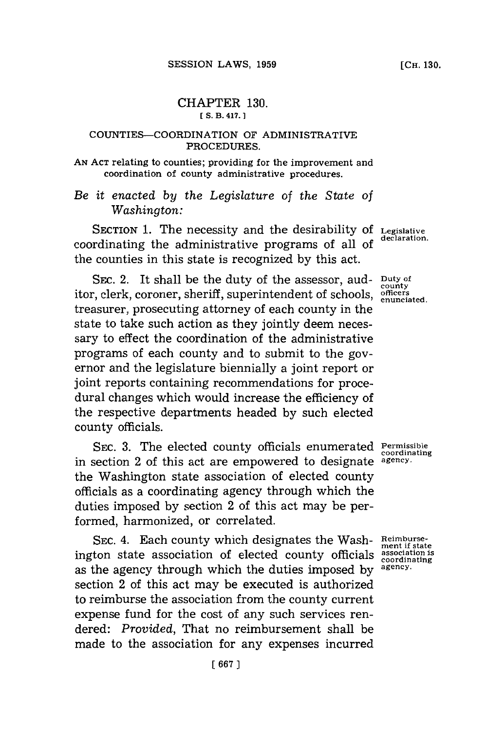## CHAPTER **130. [S. B. 417. 1**

## **COUNTIES-COORDINATION OF ADMINISTRATIVE PROCEDURES.**

## **AN ACT** relating to counties; providing for the improvement and coordination of county administrative procedures.

*Be it enacted by the Legislature of the State of Washington:*

**SECTION 1. The necessity and the desirability of Legislative** coordinating the administrative programs of all of the counties in this state is recognized **by** this act.

SEC. 2. It shall be the duty of the assessor, auditor, clerk, coroner, sheriff, superintendent of schools, *enunciated*. treasurer, prosecuting attorney of each county in the state to take such action as they jointly deem necessary to effect the coordination of the administrative programs of each county and to submit to the governor and the legislature biennially a joint report or joint reports containing recommendations for procedural changes which would increase the efficiency of the respective departments headed **by** such elected county officials.

**SEC. 3.** The elected county officials enumerated **Permissible** in section 2 of this act are empowered to designate **agency.** the Washington state association of elected county officials as a coordinating agency through which the duties imposed **by** section 2 of this act may be performed, harmonized, or correlated.

SEC. 4. Each county which designates the Wash-Reimburseington state association of elected county officials **association is** as the agency through which the duties imposed by section 2 of this act may be executed is authorized to reimburse the association from the county current expense fund for the cost of any such services rendered: *Provided,* That no reimbursement shall be made to the association for any expenses incurred

**county**

**coordinating**

**coordinating**